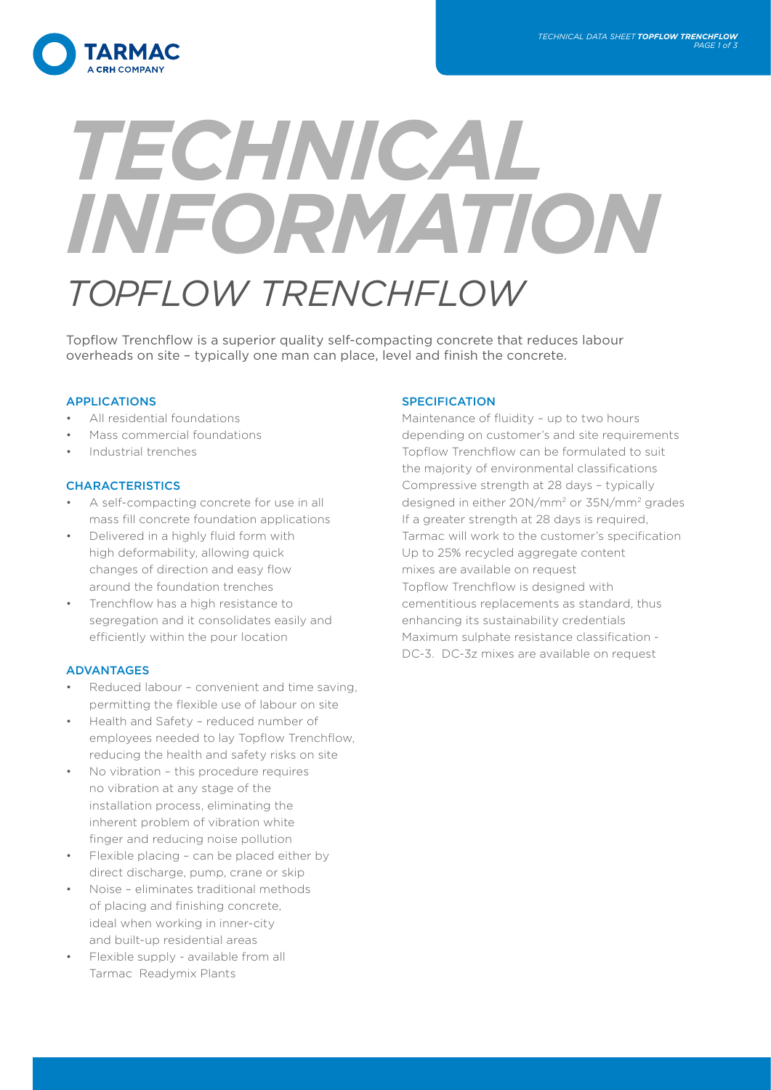

# *TECHNICAL INFORMATION TOPFLOW TRENCHFLOW*

Topflow Trenchflow is a superior quality self-compacting concrete that reduces labour overheads on site – typically one man can place, level and finish the concrete.

# APPLICATIONS

- All residential foundations
- Mass commercial foundations
- Industrial trenches

# CHARACTERISTICS

- A self-compacting concrete for use in all mass fill concrete foundation applications
- Delivered in a highly fluid form with high deformability, allowing quick changes of direction and easy flow around the foundation trenches
- Trenchflow has a high resistance to segregation and it consolidates easily and efficiently within the pour location

# ADVANTAGES

- Reduced labour convenient and time saving, permitting the flexible use of labour on site
- Health and Safety reduced number of employees needed to lay Topflow Trenchflow, reducing the health and safety risks on site
- No vibration this procedure requires no vibration at any stage of the installation process, eliminating the inherent problem of vibration white finger and reducing noise pollution
- Flexible placing can be placed either by direct discharge, pump, crane or skip
- Noise eliminates traditional methods of placing and finishing concrete, ideal when working in inner-city and built-up residential areas
- Flexible supply available from all Tarmac Readymix Plants

## **SPECIFICATION**

Maintenance of fluidity – up to two hours depending on customer's and site requirements Topflow Trenchflow can be formulated to suit the majority of environmental classifications Compressive strength at 28 days – typically designed in either 20N/mm2 or 35N/mm2 grades If a greater strength at 28 days is required, Tarmac will work to the customer's specification Up to 25% recycled aggregate content mixes are available on request Topflow Trenchflow is designed with cementitious replacements as standard, thus enhancing its sustainability credentials Maximum sulphate resistance classification - DC-3. DC-3z mixes are available on request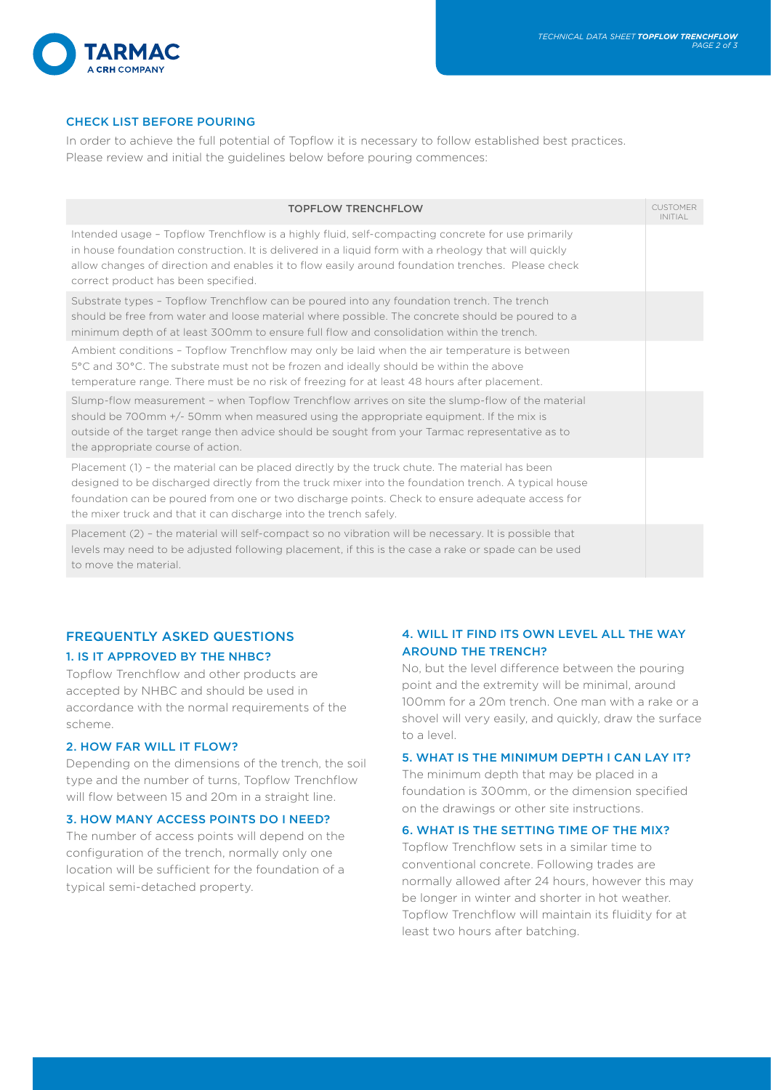

# CHECK LIST BEFORE POURING

In order to achieve the full potential of Topflow it is necessary to follow established best practices. Please review and initial the guidelines below before pouring commences:

| <b>TOPFLOW TRENCHFLOW</b>                                                                                                                                                                                                                                                                                                                                                   | <b>CUSTOMER</b><br><b>INITIAL</b> |
|-----------------------------------------------------------------------------------------------------------------------------------------------------------------------------------------------------------------------------------------------------------------------------------------------------------------------------------------------------------------------------|-----------------------------------|
| Intended usage - Topflow Trenchflow is a highly fluid, self-compacting concrete for use primarily<br>in house foundation construction. It is delivered in a liquid form with a rheology that will quickly<br>allow changes of direction and enables it to flow easily around foundation trenches. Please check<br>correct product has been specified.                       |                                   |
| Substrate types - Topflow Trenchflow can be poured into any foundation trench. The trench<br>should be free from water and loose material where possible. The concrete should be poured to a<br>minimum depth of at least 300mm to ensure full flow and consolidation within the trench.                                                                                    |                                   |
| Ambient conditions - Topflow Trenchflow may only be laid when the air temperature is between<br>5°C and 30°C. The substrate must not be frozen and ideally should be within the above<br>temperature range. There must be no risk of freezing for at least 48 hours after placement.                                                                                        |                                   |
| Slump-flow measurement - when Topflow Trenchflow arrives on site the slump-flow of the material<br>should be 700mm $+/-$ 50mm when measured using the appropriate equipment. If the mix is<br>outside of the target range then advice should be sought from your Tarmac representative as to<br>the appropriate course of action.                                           |                                   |
| Placement (1) - the material can be placed directly by the truck chute. The material has been<br>designed to be discharged directly from the truck mixer into the foundation trench. A typical house<br>foundation can be poured from one or two discharge points. Check to ensure adequate access for<br>the mixer truck and that it can discharge into the trench safely. |                                   |
| Placement (2) - the material will self-compact so no vibration will be necessary. It is possible that<br>levels may need to be adjusted following placement, if this is the case a rake or spade can be used<br>to move the material.                                                                                                                                       |                                   |

# FREQUENTLY ASKED QUESTIONS 1. IS IT APPROVED BY THE NHBC?

Topflow Trenchflow and other products are accepted by NHBC and should be used in accordance with the normal requirements of the scheme.

## 2. HOW FAR WILL IT FLOW?

Depending on the dimensions of the trench, the soil type and the number of turns, Topflow Trenchflow will flow between 15 and 20m in a straight line.

## 3. HOW MANY ACCESS POINTS DO I NEED?

The number of access points will depend on the configuration of the trench, normally only one location will be sufficient for the foundation of a typical semi-detached property.

# 4. WILL IT FIND ITS OWN LEVEL ALL THE WAY AROUND THE TRENCH?

No, but the level difference between the pouring point and the extremity will be minimal, around 100mm for a 20m trench. One man with a rake or a shovel will very easily, and quickly, draw the surface to a level.

## 5. WHAT IS THE MINIMUM DEPTH I CAN LAY IT?

The minimum depth that may be placed in a foundation is 300mm, or the dimension specified on the drawings or other site instructions.

## 6. WHAT IS THE SETTING TIME OF THE MIX?

Topflow Trenchflow sets in a similar time to conventional concrete. Following trades are normally allowed after 24 hours, however this may be longer in winter and shorter in hot weather. Topflow Trenchflow will maintain its fluidity for at least two hours after batching.